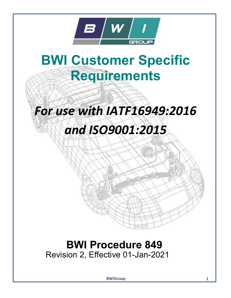

# BWI Customer Specific Requirements

## For use with IATF16949:2016

## and ISO9001:2015

### BWI Procedure 849 Revision 2, Effective 01-Jan-2021

BWIGroup 1 and 1 and 1 and 1 and 1 and 1 and 1 and 1 and 1 and 1 and 1 and 1 and 1 and 1 and 1 and 1 and 1 and 1 and 1 and 1 and 1 and 1 and 1 and 1 and 1 and 1 and 1 and 1 and 1 and 1 and 1 and 1 and 1 and 1 and 1 and 1 a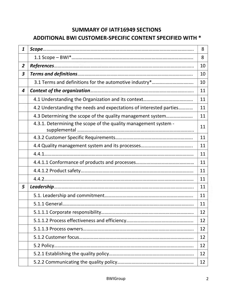### SUMMARY OF IATF16949 SECTIONS ADDITIONAL BWI CUSTOMER-SPECIFIC CONTENT SPECIFIED WITH \*

| 1              |                                                                    | 8  |
|----------------|--------------------------------------------------------------------|----|
|                |                                                                    | 8  |
| $\overline{2}$ |                                                                    | 10 |
| 3              |                                                                    | 10 |
|                | 3.1 Terms and definitions for the automotive industry*             | 10 |
| 4              |                                                                    | 11 |
|                |                                                                    | 11 |
|                | 4.2 Understanding the needs and expectations of interested parties | 11 |
|                | 4.3 Determining the scope of the quality management system         | 11 |
|                | 4.3.1. Determining the scope of the quality management system -    | 11 |
|                |                                                                    | 11 |
|                | 11                                                                 |    |
|                |                                                                    | 11 |
|                |                                                                    | 11 |
|                |                                                                    | 11 |
|                |                                                                    | 11 |
| 5              |                                                                    | 11 |
|                |                                                                    | 11 |
|                |                                                                    | 11 |
|                |                                                                    | 12 |
|                |                                                                    | 12 |
|                |                                                                    | 12 |
|                |                                                                    | 12 |
|                |                                                                    | 12 |
|                |                                                                    | 12 |
|                |                                                                    | 12 |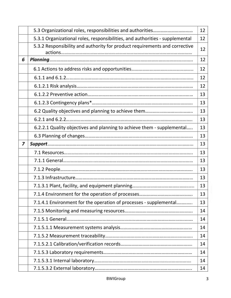|   |                                                                              | 12 |
|---|------------------------------------------------------------------------------|----|
|   | 5.3.1 Organizational roles, responsibilities, and authorities - supplemental | 12 |
|   | 5.3.2 Responsibility and authority for product requirements and corrective   | 12 |
| 6 |                                                                              | 12 |
|   |                                                                              | 12 |
|   |                                                                              | 12 |
|   |                                                                              | 12 |
|   |                                                                              | 13 |
|   |                                                                              | 13 |
|   |                                                                              | 13 |
|   |                                                                              | 13 |
|   | 6.2.2.1 Quality objectives and planning to achieve them - supplemental       | 13 |
|   |                                                                              | 13 |
| 7 |                                                                              | 13 |
|   |                                                                              | 13 |
|   |                                                                              | 13 |
|   |                                                                              | 13 |
|   |                                                                              | 13 |
|   |                                                                              | 13 |
|   |                                                                              | 13 |
|   | 7.1.4.1 Environment for the operation of processes - supplemental            | 13 |
|   |                                                                              | 14 |
|   |                                                                              | 14 |
|   |                                                                              | 14 |
|   |                                                                              | 14 |
|   |                                                                              | 14 |
|   |                                                                              | 14 |
|   |                                                                              | 14 |
|   |                                                                              | 14 |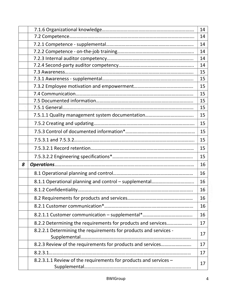|   |                                                                  | 14 |
|---|------------------------------------------------------------------|----|
|   |                                                                  | 14 |
|   |                                                                  | 14 |
|   |                                                                  | 14 |
|   |                                                                  | 14 |
|   |                                                                  | 14 |
|   |                                                                  | 15 |
|   |                                                                  | 15 |
|   |                                                                  | 15 |
|   |                                                                  | 15 |
|   |                                                                  | 15 |
|   |                                                                  | 15 |
|   |                                                                  | 15 |
|   |                                                                  | 15 |
|   |                                                                  | 15 |
|   |                                                                  | 15 |
|   |                                                                  | 15 |
|   |                                                                  | 15 |
| 8 |                                                                  | 16 |
|   |                                                                  | 16 |
|   |                                                                  | 16 |
|   |                                                                  | 16 |
|   |                                                                  | 16 |
|   |                                                                  | 16 |
|   |                                                                  | 16 |
|   | 8.2.2 Determining the requirements for products and services     | 17 |
|   | 8.2.2.1 Determining the requirements for products and services - | 17 |
|   | 8.2.3 Review of the requirements for products and services       | 17 |
|   |                                                                  | 17 |
|   | 8.2.3.1.1 Review of the requirements for products and services - | 17 |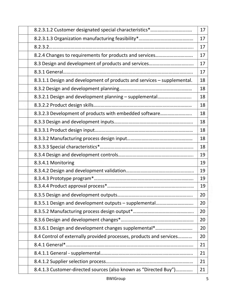|                                                                         | 17 |
|-------------------------------------------------------------------------|----|
|                                                                         | 17 |
|                                                                         | 17 |
| 8.2.4 Changes to requirements for products and services                 | 17 |
|                                                                         | 17 |
|                                                                         | 17 |
| 8.3.1.1 Design and development of products and services - supplemental. | 18 |
|                                                                         | 18 |
| 8.3.2.1 Design and development planning - supplemental                  | 18 |
|                                                                         | 18 |
| 8.3.2.3 Development of products with embedded software                  | 18 |
|                                                                         | 18 |
|                                                                         | 18 |
|                                                                         | 18 |
|                                                                         | 18 |
|                                                                         | 19 |
| 8.3.4.1 Monitoring                                                      | 19 |
|                                                                         | 19 |
|                                                                         | 19 |
|                                                                         | 19 |
|                                                                         | 20 |
| 8.3.5.1 Design and development outputs - supplemental                   | 20 |
|                                                                         | 20 |
|                                                                         | 20 |
| 8.3.6.1 Design and development changes supplemental*                    | 20 |
| 8.4 Control of externally provided processes, products and services     | 20 |
|                                                                         | 21 |
|                                                                         | 21 |
|                                                                         | 21 |
| 8.4.1.3 Customer-directed sources (also known as "Directed Buy")        | 21 |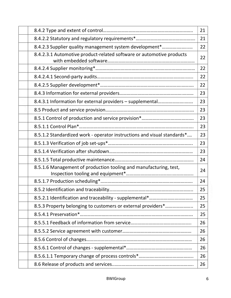|                                                                         | 21 |
|-------------------------------------------------------------------------|----|
|                                                                         | 21 |
| 8.4.2.3 Supplier quality management system development*                 | 22 |
| 8.4.2.3.1 Automotive product-related software or automotive products    | 22 |
|                                                                         | 22 |
|                                                                         | 22 |
|                                                                         | 22 |
|                                                                         | 23 |
|                                                                         | 23 |
|                                                                         | 23 |
|                                                                         | 23 |
|                                                                         | 23 |
| 8.5.1.2 Standardized work - operator instructions and visual standards* | 23 |
|                                                                         | 23 |
|                                                                         | 23 |
|                                                                         | 24 |
| 8.5.1.6 Management of production tooling and manufacturing, test,       | 24 |
|                                                                         | 24 |
|                                                                         | 25 |
|                                                                         | 25 |
| 8.5.3 Property belonging to customers or external providers*            | 25 |
|                                                                         | 25 |
|                                                                         | 26 |
|                                                                         | 26 |
|                                                                         | 26 |
|                                                                         | 26 |
|                                                                         | 26 |
|                                                                         | 26 |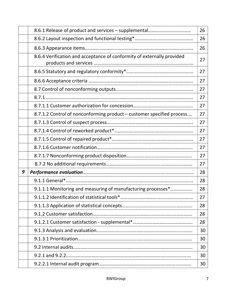|   |                                                                        | 26 |
|---|------------------------------------------------------------------------|----|
|   |                                                                        | 26 |
|   |                                                                        | 26 |
|   | 8.6.4 Verification and acceptance of conformity of externally provided | 27 |
|   |                                                                        | 27 |
|   |                                                                        | 27 |
|   |                                                                        | 27 |
|   |                                                                        | 27 |
|   |                                                                        | 27 |
|   | 8.7.1.2 Control of nonconforming product – customer specified process  | 27 |
|   |                                                                        | 27 |
|   |                                                                        | 27 |
|   |                                                                        | 27 |
|   |                                                                        | 27 |
|   |                                                                        | 27 |
|   |                                                                        | 27 |
| 9 |                                                                        | 28 |
|   |                                                                        | 28 |
|   | 9.1.1.1 Monitoring and measuring of manufacturing processes*           | 28 |
|   |                                                                        | 27 |
|   |                                                                        | 28 |
|   |                                                                        | 28 |
|   |                                                                        | 28 |
|   |                                                                        | 30 |
|   |                                                                        | 30 |
|   |                                                                        | 30 |
|   |                                                                        | 30 |
|   |                                                                        | 30 |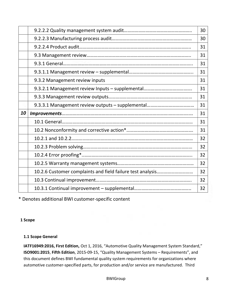|    |                                                                                                                                                                                                                                                                                                                                                                                                                                        | 30 |
|----|----------------------------------------------------------------------------------------------------------------------------------------------------------------------------------------------------------------------------------------------------------------------------------------------------------------------------------------------------------------------------------------------------------------------------------------|----|
|    |                                                                                                                                                                                                                                                                                                                                                                                                                                        | 30 |
|    |                                                                                                                                                                                                                                                                                                                                                                                                                                        | 31 |
|    |                                                                                                                                                                                                                                                                                                                                                                                                                                        | 31 |
|    |                                                                                                                                                                                                                                                                                                                                                                                                                                        | 31 |
|    |                                                                                                                                                                                                                                                                                                                                                                                                                                        | 31 |
|    | 9.3.2 Management review inputs                                                                                                                                                                                                                                                                                                                                                                                                         | 31 |
|    |                                                                                                                                                                                                                                                                                                                                                                                                                                        | 31 |
|    |                                                                                                                                                                                                                                                                                                                                                                                                                                        | 31 |
|    |                                                                                                                                                                                                                                                                                                                                                                                                                                        | 31 |
|    |                                                                                                                                                                                                                                                                                                                                                                                                                                        |    |
| 10 |                                                                                                                                                                                                                                                                                                                                                                                                                                        | 31 |
|    | $\label{eq:3} \textit{Improvements}. \textit{1} \textit{mprovements}. \textit{2} \textit{1} \textit{2} \textit{3} \textit{4} \textit{4} \textit{5} \textit{5} \textit{6} \textit{6} \textit{7} \textit{7} \textit{8} \textit{8} \textit{9} \textit{1} \textit{1} \textit{1} \textit{1} \textit{1} \textit{1} \textit{1} \textit{1} \textit{1} \textit{1} \textit{1} \textit{1} \textit{1} \textit{1} \textit{1} \textit{1} \textit{1}$ | 31 |
|    |                                                                                                                                                                                                                                                                                                                                                                                                                                        | 31 |
|    |                                                                                                                                                                                                                                                                                                                                                                                                                                        | 32 |
|    |                                                                                                                                                                                                                                                                                                                                                                                                                                        | 32 |
|    |                                                                                                                                                                                                                                                                                                                                                                                                                                        | 32 |
|    |                                                                                                                                                                                                                                                                                                                                                                                                                                        | 32 |
|    |                                                                                                                                                                                                                                                                                                                                                                                                                                        | 32 |
|    |                                                                                                                                                                                                                                                                                                                                                                                                                                        | 32 |

\* Denotes additional BWI customer-specific content

1 Scope

#### 1.1 Scope General

IATF16949:2016, First Edition, Oct 1, 2016, "Automotive Quality Management System Standard," ISO9001:2015, Fifth Edition, 2015-09-15, "Quality Management Systems – Requirements", and this document defines BWI fundamental quality system requirements for organizations where automotive customer-specified parts, for production and/or service are manufactured. Third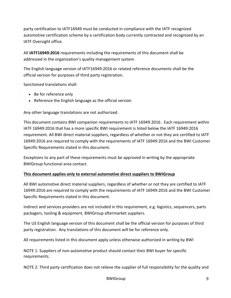party certification to IATF16949 must be conducted in compliance with the IATF recognized automotive certification scheme by a certification body currently contracted and recognized by an IATF Oversight office.

All IATF16949:2016 requirements including the requirements of this document shall be addressed in the organization's quality management system.

The English language version of IATF16949:2016 or related reference documents shall be the official version for purposes of third party registration.

Sanctioned translations shall:

- Be for reference only
- Reference the English language as the official version

Any other language translations are not authorized.

This document contains BWI companion requirements to IATF 16949:2016. Each requirement within IATF 16949:2016 that has a more specific BWI requirement is listed below the IATF 16949:2016 requirement. All BWI direct material suppliers, regardless of whether or not they are certified to IATF 16949:2016 are required to comply with the requirements of IATF 16949:2016 and the BWI Customer Specific Requirements stated in this document.

Exceptions to any part of these requirements must be approved in writing by the appropriate BWIGroup functional area contact.

#### This document applies only to external automotive direct suppliers to BWIGroup

All BWI automotive direct material suppliers, regardless of whether or not they are certified to IATF 16949:2016 are required to comply with the requirements of IATF 16949:2016 and the BWI Customer Specific Requirements stated in this document.

Indirect and services providers are not included in this requirement, e.g. logistics, sequencers, parts packagers, tooling & equipment, BWIGroup aftermarket suppliers.

The US English language version of this document shall be the official version for purposes of third party registration. Any translations of this document will be for reference only.

All requirements listed in this document apply unless otherwise authorized in writing by BWI

NOTE 1: Suppliers of non-automotive product should contact their BWI buyer for specific requirements.

NOTE 2: Third party certification does not relieve the supplier of full responsibility for the quality and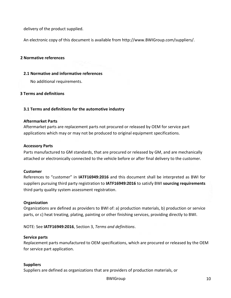delivery of the product supplied.

An electronic copy of this document is available from http://www.BWIGroup.com/suppliers/.

#### 2 Normative references

#### 2.1 Normative and informative references

No additional requirements.

#### 3 Terms and definitions

#### 3.1 Terms and definitions for the automotive industry

#### Aftermarket Parts

Aftermarket parts are replacement parts not procured or released by OEM for service part applications which may or may not be produced to original equipment specifications.

#### Accessory Parts

Parts manufactured to GM standards, that are procured or released by GM, and are mechanically attached or electronically connected to the vehicle before or after final delivery to the customer.

#### Customer

References to "customer" in IATF16949:2016 and this document shall be interpreted as BWI for suppliers pursuing third party registration to IATF16949:2016 to satisfy BWI sourcing requirements third party quality system assessment registration.

#### **Organization**

Organizations are defined as providers to BWI of: a) production materials, b) production or service parts, or c) heat treating, plating, painting or other finishing services, providing directly to BWI.

NOTE: See IATF16949:2016, Section 3, Terms and definitions.

#### Service parts

Replacement parts manufactured to OEM specifications, which are procured or released by the OEM for service part application.

#### Suppliers

Suppliers are defined as organizations that are providers of production materials, or

BWIGroup 10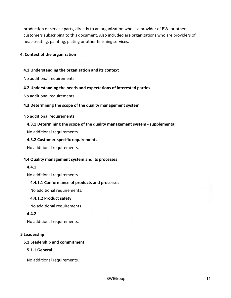production or service parts, directly to an organization who is a provider of BWI or other customers subscribing to this document. Also included are organizations who are providers of heat-treating, painting, plating or other finishing services.

#### 4. Context of the organization

#### 4.1 Understanding the organization and its context

No additional requirements.

#### 4.2 Understanding the needs and expectations of interested parties

No additional requirements.

#### 4.3 Determining the scope of the quality management system

No additional requirements.

#### 4.3.1 Determining the scope of the quality management system - supplemental

No additional requirements.

#### 4.3.2 Customer-specific requirements

No additional requirements.

#### 4.4 Quality management system and its processes

#### 4.4.1

No additional requirements.

#### 4.4.1.1 Conformance of products and processes

No additional requirements.

#### 4.4.1.2 Product safety

No additional requirements.

#### 4.4.2

No additional requirements.

#### 5 Leadership

#### 5.1 Leadership and commitment

#### 5.1.1 General

No additional requirements.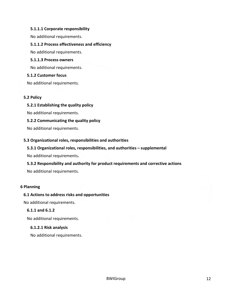#### 5.1.1.1 Corporate responsibility

No additional requirements.

#### 5.1.1.2 Process effectiveness and efficiency

No additional requirements.

#### 5.1.1.3 Process owners

No additional requirements.

#### 5.1.2 Customer focus

No additional requirements.

#### 5.2 Policy

5.2.1 Establishing the quality policy

No additional requirements.

#### 5.2.2 Communicating the quality policy

No additional requirements.

#### 5.3 Organizational roles, responsibilities and authorities

#### 5.3.1 Organizational roles, responsibilities, and authorities – supplemental

No additional requirements.

#### 5.3.2 Responsibility and authority for product requirements and corrective actions

No additional requirements.

#### 6 Planning

#### 6.1 Actions to address risks and opportunities

No additional requirements.

#### 6.1.1 and 6.1.2

No additional requirements.

#### 6.1.2.1 Risk analysis

No additional requirements.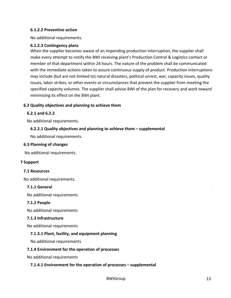#### 6.1.2.2 Preventive action

No additional requirements.

#### 6.1.2.3 Contingency plans

When the supplier becomes aware of an impending production interruption, the supplier shall make every attempt to notify the BWI receiving plant's Production Control & Logistics contact or member of that department within 24 hours. The nature of the problem shall be communicated with the immediate actions taken to assure continuous supply of product. Production interruptions may include (but are not limited to) natural disasters, political unrest, war, capacity issues, quality issues, labor strikes, or other events or circumstances that prevent the supplier from meeting the specified capacity volumes. The supplier shall advise BWI of the plan for recovery and work toward minimizing its effect on the BWI plant.

#### 6.2 Quality objectives and planning to achieve them

#### 6.2.1 and 6.2.2

No additional requirements.

#### 6.2.2.1 Quality objectives and planning to achieve them – supplemental

No additional requirements.

#### 6.3 Planning of changes

No additional requirements.

#### 7 Support

#### 7.1 Resources

No additional requirements.

#### 7.1.1 General

No additional requirements

#### 7.1.2 People

No additional requirements

#### 7.1.3 Infrastructure

No additional requirements

#### 7.1.3.1 Plant, facility, and equipment planning

No additional requirements

#### 7.1.4 Environment for the operation of processes

No additional requirements

#### 7.1.4.1 Environment for the operation of processes – supplemental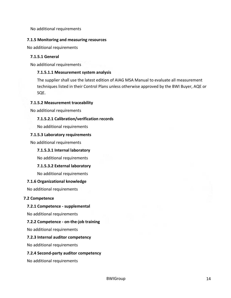No additional requirements

#### 7.1.5 Monitoring and measuring resources

No additional requirements

#### 7.1.5.1 General

No additional requirements

#### 7.1.5.1.1 Measurement system analysis

The supplier shall use the latest edition of AIAG MSA Manual to evaluate all measurement techniques listed in their Control Plans unless otherwise approved by the BWI Buyer, AQE or SQE.

#### 7.1.5.2 Measurement traceability

No additional requirements

#### 7.1.5.2.1 Calibration/verification records

No additional requirements

#### 7.1.5.3 Laboratory requirements

No additional requirements

#### 7.1.5.3.1 Internal laboratory

No additional requirements

#### 7.1.5.3.2 External laboratory

No additional requirements

#### 7.1.6 Organizational knowledge

No additional requirements

#### 7.2 Competence

#### 7.2.1 Competence - supplemental

No additional requirements

#### 7.2.2 Competence - on-the-job training

No additional requirements

#### 7.2.3 Internal auditor competency

No additional requirements

#### 7.2.4 Second-party auditor competency

No additional requirements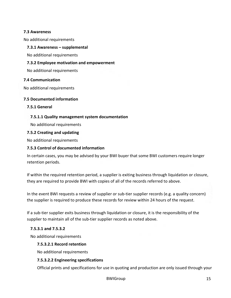#### 7.3 Awareness

No additional requirements

#### 7.3.1 Awareness – supplemental

No additional requirements

#### 7.3.2 Employee motivation and empowerment

No additional requirements

#### 7.4 Communication

No additional requirements

#### 7.5 Documented information

7.5.1 General

#### 7.5.1.1 Quality management system documentation

No additional requirements

#### 7.5.2 Creating and updating

No additional requirements

#### 7.5.3 Control of documented information

In certain cases, you may be advised by your BWI buyer that some BWI customers require longer retention periods.

If within the required retention period, a supplier is exiting business through liquidation or closure, they are required to provide BWI with copies of all of the records referred to above.

In the event BWI requests a review of supplier or sub-tier supplier records (e.g. a quality concern) the supplier is required to produce these records for review within 24 hours of the request.

If a sub-tier supplier exits business through liquidation or closure, it is the responsibility of the supplier to maintain all of the sub-tier supplier records as noted above.

#### 7.5.3.1 and 7.5.3.2

No additional requirements

#### 7.5.3.2.1 Record retention

No additional requirements

#### 7.5.3.2.2 Engineering specifications

Official prints and specifications for use in quoting and production are only issued through your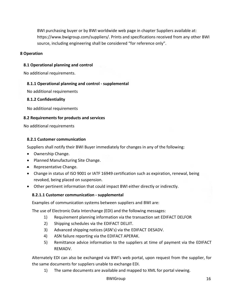BWI purchasing buyer or by BWI worldwide web page in chapter Suppliers available at: https://www.bwigroup.com/suppliers/. Prints and specifications received from any other BWI source, including engineering shall be considered "for reference only".

#### 8 Operation

#### 8.1 Operational planning and control

No additional requirements.

#### 8.1.1 Operational planning and control - supplemental

No additional requirements

#### 8.1.2 Confidentiality

No additional requirements

#### 8.2 Requirements for products and services

No additional requirements

#### 8.2.1 Customer communication

Suppliers shall notify their BWI Buyer immediately for changes in any of the following:

- Ownership Change.
- Planned Manufacturing Site Change.
- Representative Change.
- Change in status of ISO 9001 or IATF 16949 certification such as expiration, renewal, being revoked, being placed on suspension.
- Other pertinent information that could impact BWI either directly or indirectly.

#### 8.2.1.1 Customer communication - supplemental

Examples of communication systems between suppliers and BWI are:

The use of Electronic Data Interchange (EDI) and the following messages:

- 1) Requirement planning information via the transaction set EDIFACT DELFOR
- 2) Shipping schedules via the EDIFACT DELJIT.
- 3) Advanced shipping notices (ASN's) via the EDIFACT DESADV.
- 4) ASN failure reporting via the EDIFACT APERAK.
- 5) Remittance advice information to the suppliers at time of payment via the EDIFACT REMADV.

Alternately EDI can also be exchanged via BWI's web portal, upon request from the supplier, for the same documents for suppliers unable to exchange EDI.

1) The same documents are available and mapped to XML for portal viewing.

BWIGroup 16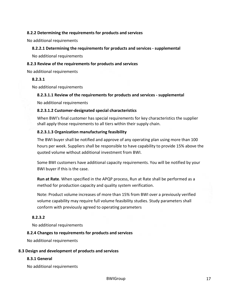#### 8.2.2 Determining the requirements for products and services

No additional requirements

#### 8.2.2.1 Determining the requirements for products and services - supplemental

No additional requirements

#### 8.2.3 Review of the requirements for products and services

No additional requirements

#### 8.2.3.1

No additional requirements

#### 8.2.3.1.1 Review of the requirements for products and services - supplemental

No additional requirements

#### 8.2.3.1.2 Customer-designated special characteristics

When BWI's final customer has special requirements for key characteristics the supplier shall apply those requirements to all tiers within their supply chain.

#### 8.2.3.1.3 Organization manufacturing feasibility

The BWI buyer shall be notified and approve of any operating plan using more than 100 hours per week. Suppliers shall be responsible to have capability to provide 15% above the quoted volume without additional investment from BWI.

Some BWI customers have additional capacity requirements. You will be notified by your BWI buyer if this is the case.

Run at Rate. When specified in the APQP process, Run at Rate shall be performed as a method for production capacity and quality system verification.

Note: Product volume increases of more than 15% from BWI over a previously verified volume capability may require full volume feasibility studies. Study parameters shall conform with previously agreed to operating parameters

#### 8.2.3.2

No additional requirements

#### 8.2.4 Changes to requirements for products and services

No additional requirements

#### 8.3 Design and development of products and services

#### 8.3.1 General

No additional requirements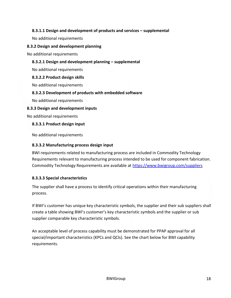#### 8.3.1.1 Design and development of products and services – supplemental

No additional requirements

#### 8.3.2 Design and development planning

No additional requirements

#### 8.3.2.1 Design and development planning – supplemental

No additional requirements

#### 8.3.2.2 Product design skills

No additional requirements

#### 8.3.2.3 Development of products with embedded software

No additional requirements

#### 8.3.3 Design and development inputs

No additional requirements

8.3.3.1 Product design input

No additional requirements

#### 8.3.3.2 Manufacturing process design input

BWI requirements related to manufacturing process are included in Commodity Technology Requirements relevant to manufacturing process intended to be used for component fabrication. Commodity Technology Requirements are available at https://www.bwigroup.com/suppliers

#### 8.3.3.3 Special characteristics

The supplier shall have a process to identify critical operations within their manufacturing process.

If BWI's customer has unique key characteristic symbols, the supplier and their sub suppliers shall create a table showing BWI's customer's key characteristic symbols and the supplier or sub supplier comparable key characteristic symbols.

An acceptable level of process capability must be demonstrated for PPAP approval for all special/important characteristics (KPCs and QCIs). See the chart below for BWI capability requirements.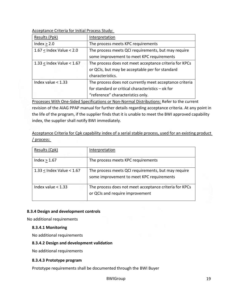Acceptance Criteria for Initial Process Study:

| Results (Ppk)                                                                       | Interpretation                                          |
|-------------------------------------------------------------------------------------|---------------------------------------------------------|
| Index $> 2.0$                                                                       | The process meets KPC requirements                      |
| $1.67 <$ Index Value $< 2.0$<br>The process meets QCI requirements, but may require |                                                         |
|                                                                                     | some improvement to meet KPC requirements               |
| $1.33 <$ Index Value $< 1.67$                                                       | The process does not meet acceptance criteria for KPCs  |
|                                                                                     | or QCIs, but may be acceptable per for standard         |
|                                                                                     | characteristics.                                        |
| Index value $<$ 1.33                                                                | The process does not currently meet acceptance criteria |
|                                                                                     | for standard or critical characteristics - ok for       |
|                                                                                     | "reference" characteristics only.                       |

Processes With One-Sided Specifications or Non-Normal Distributions: Refer to the current revision of the AIAG PPAP manual for further details regarding acceptance criteria. At any point in the life of the program, if the supplier finds that it is unable to meet the BWI approved capability index, the supplier shall notify BWI immediately.

Acceptance Criteria for Cpk capability index of a serial stable process, used for an existing product / process:

| Results (Cpk)                 | Interpretation                                                                                   |
|-------------------------------|--------------------------------------------------------------------------------------------------|
| Index $> 1.67$                | The process meets KPC requirements                                                               |
| $1.33$ < Index Value < $1.67$ | The process meets QCI requirements, but may require<br>some improvement to meet KPC requirements |
| Index value $<$ 1.33          | The process does not meet acceptance criteria for KPCs<br>or QCIs and require improvement        |

#### 8.3.4 Design and development controls

No additional requirements

#### 8.3.4.1 Monitoring

No additional requirements

#### 8.3.4.2 Design and development validation

No additional requirements

#### 8.3.4.3 Prototype program

Prototype requirements shall be documented through the BWI Buyer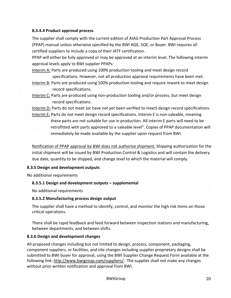#### 8.3.4.4 Product approval process

The supplier shall comply with the current edition of AIAG Production Part Approval Process (PPAP) manual unless otherwise specified by the BWI AQE, SQE, or Buyer. BWI requires all certified suppliers to include a copy of their IATF certification.

PPAP will either be fully approved or may be approved at an interim level. The following interim approval levels apply to BWI supplier PPAPs:

Interim A: Parts are produced using 100% production tooling and meet design record specifications. However, not all production approval requirements have been met.

- Interim B: Parts are produced using 100% production tooling and require rework to meet design record specifications.
- Interim C: Parts are produced using non-production tooling and/or process, but meet design record specifications.

Interim D: Parts do not meet (or have not yet been verified to meet) design record specifications.

Interim E: Parts do not meet design record specifications. Interim E is non-saleable, meaning these parts are not suitable for use in production. All interim E parts will need to be retrofitted with parts approved to a saleable level". Copies of PPAP documentation will immediately be made available by the supplier upon request from BWI.

Notification of PPAP approval by BWI does not authorize shipment. Shipping authorization for the initial shipment will be issued by BWI Production Control & Logistics and will contain the delivery due date, quantity to be shipped, and change level to which the material will comply.

#### 8.3.5 Design and development outputs

No additional requirements

#### 8.3.5.1 Design and development outputs – supplemental

No additional requirements

#### 8.3.5.2 Manufacturing process design output

The supplier shall have a method to identify, control, and monitor the high risk items on those critical operations.

There shall be rapid feedback and feed forward between inspection stations and manufacturing, between departments, and between shifts.

#### 8.3.6 Design and development changes

All proposed changes including but not limited to design, process, component, packaging, component suppliers, or facilities, and site changes including supplier proprietary designs shall be submitted to BWI buyer for approval, using the BWI Supplier Change Request Form available at the following link: http://www.bwigroup.com/suppliers/. The supplier shall not make any changes without prior written notification and approval from BWI.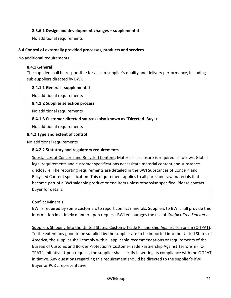#### 8.3.6.1 Design and development changes – supplemental

No additional requirements

#### 8.4 Control of externally provided processes, products and services

No additional requirements.

#### 8.4.1 General

The supplier shall be responsible for all sub-supplier's quality and delivery performance, including sub-suppliers directed by BWI.

#### 8.4.1.1 General - supplemental

No additional requirements

#### 8.4.1.2 Supplier selection process

No additional requirements

#### 8.4.1.3 Customer-directed sources (also known as "Directed–Buy")

No additional requirements

#### 8.4.2 Type and extent of control

No additional requirements

#### 8.4.2.2 Statutory and regulatory requirements

Substances of Concern and Recycled Content: Materials disclosure is required as follows. Global legal requirements and customer specifications necessitate material content and substance disclosure. The reporting requirements are detailed in the BWI Substances of Concern and Recycled Content specification. This requirement applies to all parts and raw materials that become part of a BWI saleable product or end item unless otherwise specified. Please contact buyer for details.

#### Conflict Minerals:

BWI is required by some customers to report conflict minerals. Suppliers to BWI shall provide this information in a timely manner upon request. BWI encourages the use of Conflict Free Smelters.

Suppliers Shipping Into the United States: Customs-Trade Partnership Against Terrorism (C-TPAT): To the extent any good to be supplied by the supplier are to be imported into the United States of America, the supplier shall comply with all applicable recommendations or requirements of the Bureau of Customs and Border Protection's Customs-Trade Partnership Against Terrorism ("C-TPAT") initiative. Upon request, the supplier shall certify in writing its compliance with the C-TPAT initiative. Any questions regarding this requirement should be directed to the supplier's BWI Buyer or PC&L representative.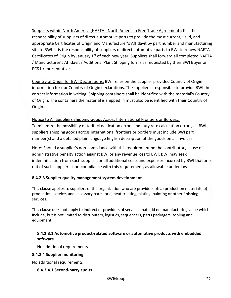Suppliers within North America (NAFTA - North American Free Trade Agreement): It is the responsibility of suppliers of direct automotive parts to provide the most current, valid, and appropriate Certificates of Origin and Manufacturer's Affidavit by part number and manufacturing site to BWI. It is the responsibility of suppliers of direct automotive parts to BWI to renew NAFTA Certificates of Origin by January  $1<sup>st</sup>$  of each new year. Suppliers shall forward all completed NAFTA / Manufacturer's Affidavit / Additional Plant Shipping forms as requested by their BWI Buyer or PC&L representative.

Country of Origin for BWI Declarations: BWI relies on the supplier provided Country of Origin information for our Country of Origin declarations. The supplier is responsible to provide BWI the correct information in writing. Shipping containers shall be identified with the material's Country of Origin. The containers the material is shipped in must also be identified with their Country of Origin.

#### Notice to All Suppliers Shipping Goods Across International Frontiers or Borders:

To minimize the possibility of tariff classification errors and duty rate calculation errors, all BWI suppliers shipping goods across international frontiers or borders must include BWI part number(s) and a detailed plain language English description of the goods on all invoices.

Note: Should a supplier's non-compliance with this requirement be the contributory cause of administrative penalty action against BWI or any revenue loss to BWI, BWI may seek indemnification from such supplier for all additional costs and expenses incurred by BWI that arise out of such supplier's non-compliance with this requirement, as allowable under law.

#### 8.4.2.3 Supplier quality management system development

This clause applies to suppliers of the organization who are providers of: a) production materials, b) production, service, and accessory parts, or c) heat treating, plating, painting or other finishing services.

This clause does not apply to indirect or providers of services that add no manufacturing value which include, but is not limited to distributers, logistics, sequencers, parts packagers, tooling and equipment.

#### 8.4.2.3.1 Automotive product-related software or automotive products with embedded software

No additional requirements

#### 8.4.2.4 Supplier monitoring

No additional requirements

#### 8.4.2.4.1 Second-party audits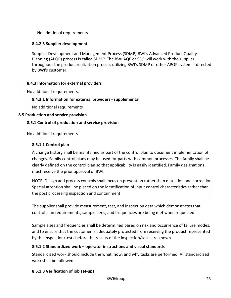No additional requirements

#### 8.4.2.5 Supplier development

Supplier Development and Management Process (SDMP) BWI's Advanced Product Quality Planning (APQP) process is called SDMP. The BWI AQE or SQE will work with the supplier throughout the product realization process utilizing BWI's SDMP or other APQP system if directed by BWI's customer.

#### 8.4.3 Information for external providers

No additional requirements.

#### 8.4.3.1 Information for external providers - supplemental

No additional requirements

#### 8.5 Production and service provision

#### 8.5.1 Control of production and service provision

No additional requirements

#### 8.5.1.1 Control plan

A change history shall be maintained as part of the control plan to document implementation of changes. Family control plans may be used for parts with common processes. The family shall be clearly defined on the control plan so that applicability is easily identified. Family designations must receive the prior approval of BWI.

NOTE: Design and process controls shall focus on prevention rather than detection and correction. Special attention shall be placed on the identification of input control characteristics rather than the post processing inspection and containment.

The supplier shall provide measurement, test, and inspection data which demonstrates that control plan requirements, sample sizes, and frequencies are being met when requested.

Sample sizes and frequencies shall be determined based on risk and occurrence of failure modes, and to ensure that the customer is adequately protected from receiving the product represented by the inspection/tests before the results of the inspection/tests are known.

#### 8.5.1.2 Standardized work – operator instructions and visual standards

Standardized work should include the what, how, and why tasks are performed. All standardized work shall be followed.

#### 8.5.1.3 Verification of job set-ups

BWIGroup 23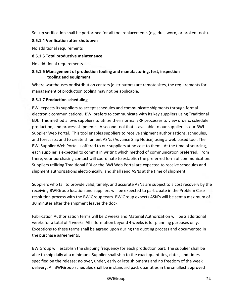Set-up verification shall be performed for all tool replacements (e.g. dull, worn, or broken tools).

#### 8.5.1.4 Verification after shutdown

No additional requirements

#### 8.5.1.5 Total productive maintenance

No additional requirements

#### 8.5.1.6 Management of production tooling and manufacturing, test, inspection tooling and equipment

Where warehouses or distribution centers (distributors) are remote sites, the requirements for management of production tooling may not be applicable.

#### 8.5.1.7 Production scheduling

BWI expects its suppliers to accept schedules and communicate shipments through formal electronic communications. BWI prefers to communicate with its key suppliers using Traditional EDI. This method allows suppliers to utilize their normal ERP processes to view orders, schedule production, and process shipments. A second tool that is available to our suppliers is our BWI Supplier Web Portal. This tool enables suppliers to receive shipment authorizations, schedules, and forecasts; and to create shipment ASNs (Advance Ship Notice) using a web based tool. The BWI Supplier Web Portal is offered to our suppliers at no cost to them. At the time of sourcing, each supplier is expected to commit in writing which method of communication preferred. From there, your purchasing contact will coordinate to establish the preferred form of communication. Suppliers utilizing Traditional EDI or the BWI Web Portal are expected to receive schedules and shipment authorizations electronically, and shall send ASNs at the time of shipment.

Suppliers who fail to provide valid, timely, and accurate ASNs are subject to a cost recovery by the receiving BWIGroup location and suppliers will be expected to participate in the Problem Case resolution process with the BWIGroup team. BWIGroup expects ASN's will be sent a maximum of 30 minutes after the shipment leaves the dock.

Fabrication Authorization terms will be 2 weeks and Material Authorization will be 2 additional weeks for a total of 4 weeks. All information beyond 4 weeks is for planning purposes only. Exceptions to these terms shall be agreed upon during the quoting process and documented in the purchase agreements.

BWIGroup will establish the shipping frequency for each production part. The supplier shall be able to ship daily at a minimum. Supplier shall ship to the exact quantities, dates, and times specified on the release: no over, under, early or late shipments and no freedom of the week delivery. All BWIGroup schedules shall be in standard pack quantities in the smallest approved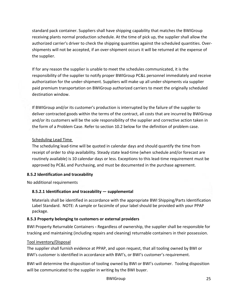standard pack container. Suppliers shall have shipping capability that matches the BWIGroup receiving plants normal production schedule. At the time of pick up, the supplier shall allow the authorized carrier's driver to check the shipping quantities against the scheduled quantities. Overshipments will not be accepted, if an over-shipment occurs it will be returned at the expense of the supplier.

If for any reason the supplier is unable to meet the schedules communicated, it is the responsibility of the supplier to notify proper BWIGroup PC&L personnel immediately and receive authorization for the under-shipment. Suppliers will make up all under-shipments via supplier paid premium transportation on BWIGroup authorized carriers to meet the originally scheduled destination window.

If BWIGroup and/or its customer's production is interrupted by the failure of the supplier to deliver contracted goods within the terms of the contract, all costs that are incurred by BWIGroup and/or its customers will be the sole responsibility of the supplier and corrective action taken in the form of a Problem Case. Refer to section 10.2 below for the definition of problem case.

#### Scheduling Lead Time

The scheduling lead-time will be quoted in calendar days and should quantify the time from receipt of order to ship availability. Steady state lead-time (when schedule and/or forecast are routinely available) is 10 calendar days or less. Exceptions to this lead-time requirement must be approved by PC&L and Purchasing, and must be documented in the purchase agreement.

#### 8.5.2 Identification and traceability

No additional requirements

#### 8.5.2.1 Identification and traceability — supplemental

Materials shall be identified in accordance with the appropriate BWI Shipping/Parts Identification Label Standard. NOTE: A sample or facsimile of your label should be provided with your PPAP package.

#### 8.5.3 Property belonging to customers or external providers

BWI Property Returnable Containers - Regardless of ownership, the supplier shall be responsible for tracking and maintaining (including repairs and cleaning) returnable containers in their possession.

#### Tool inventory/Disposal

The supplier shall furnish evidence at PPAP, and upon request, that all tooling owned by BWI or BWI's customer is identified in accordance with BWI's, or BWI's customer's requirement.

BWI will determine the disposition of tooling owned by BWI or BWI's customer. Tooling disposition will be communicated to the supplier in writing by the BWI buyer.

BWIGroup 25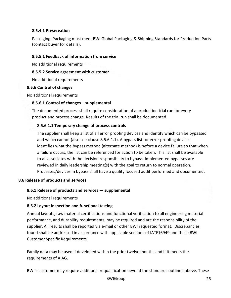#### 8.5.4.1 Preservation

Packaging: Packaging must meet BWI Global Packaging & Shipping Standards for Production Parts (contact buyer for details).

#### 8.5.5.1 Feedback of information from service

No additional requirements

#### 8.5.5.2 Service agreement with customer

No additional requirements

#### 8.5.6 Control of changes

No additional requirements

#### 8.5.6.1 Control of changes – supplemental

The documented process shall require consideration of a production trial run for every product and process change. Results of the trial run shall be documented.

#### 8.5.6.1.1 Temporary change of process controls

The supplier shall keep a list of all error proofing devices and identify which can be bypassed and which cannot (also see clause 8.5.6.1.1). A bypass list for error proofing devices identifies what the bypass method (alternate method) is before a device failure so that when a failure occurs, the list can be referenced for action to be taken. This list shall be available to all associates with the decision responsibility to bypass. Implemented bypasses are reviewed in daily leadership meeting(s) with the goal to return to normal operation. Processes/devices in bypass shall have a quality focused audit performed and documented.

#### 8.6 Release of products and services

#### 8.6.1 Release of products and services — supplemental

No additional requirements

#### 8.6.2 Layout inspection and functional testing

Annual layouts, raw material certifications and functional verification to all engineering material performance, and durability requirements, may be required and are the responsibility of the supplier. All results shall be reported via e-mail or other BWI requested format. Discrepancies found shall be addressed in accordance with applicable sections of IATF16949 and these BWI Customer Specific Requirements.

Family data may be used if developed within the prior twelve months and if it meets the requirements of AIAG.

BWI's customer may require additional requalification beyond the standards outlined above. These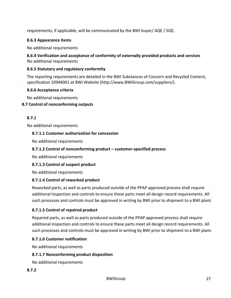requirements, if applicable, will be communicated by the BWI buyer/ AQE / SQE.

#### 8.6.3 Appearance items

No additional requirements

8.6.4 Verification and acceptance of conformity of externally provided products and services No additional requirements

#### 8.6.5 Statutory and regulatory conformity

The reporting requirements are detailed in the BWI Substances of Concern and Recycled Content, specification 10949001 at BWI Website (http://www.BWIGroup.com/suppliers/).

#### 8.6.6 Acceptance criteria

No additional requirements

#### 8.7 Control of nonconforming outputs

#### 8.7.1

No additional requirements

#### 8.7.1.1 Customer authorization for concession

No additional requirements

#### 8.7.1.2 Control of nonconforming product – customer-specified process

No additional requirements

#### 8.7.1.3 Control of suspect product

No additional requirements

#### 8.7.1.4 Control of reworked product

Reworked parts, as well as parts produced outside of the PPAP approved process shall require additional inspection and controls to ensure these parts meet all design record requirements. All such processes and controls must be approved in writing by BWI prior to shipment to a BWI plant.

#### 8.7.1.5 Control of repaired product

Repaired parts, as well as parts produced outside of the PPAP approved process shall require additional inspection and controls to ensure these parts meet all design record requirements. All such processes and controls must be approved in writing by BWI prior to shipment to a BWI plant.

#### 8.7.1.6 Customer notification

No additional requirements

#### 8.7.1.7 Nonconforming product disposition

No additional requirements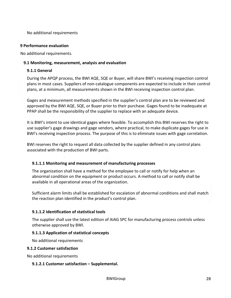No additional requirements

#### 9 Performance evaluation

No additional requirements.

#### 9.1 Monitoring, measurement, analysis and evaluation

#### 9.1.1 General

During the APQP process, the BWI AQE, SQE or Buyer, will share BWI's receiving inspection control plans in most cases. Suppliers of non-catalogue components are expected to include in their control plans, at a minimum, all measurements shown in the BWI receiving inspection control plan.

Gages and measurement methods specified in the supplier's control plan are to be reviewed and approved by the BWI AQE, SQE, or Buyer prior to their purchase. Gages found to be inadequate at PPAP shall be the responsibility of the supplier to replace with an adequate device.

It is BWI's intent to use identical gages where feasible. To accomplish this BWI reserves the right to use supplier's gage drawings and gage vendors, where practical, to make duplicate gages for use in BWI's receiving inspection process. The purpose of this is to eliminate issues with gage correlation.

BWI reserves the right to request all data collected by the supplier defined in any control plans associated with the production of BWI parts.

#### 9.1.1.1 Monitoring and measurement of manufacturing processes

The organization shall have a method for the employee to call or notify for help when an abnormal condition on the equipment or product occurs. A method to call or notify shall be available in all operational areas of the organization.

Sufficient alarm limits shall be established for escalation of abnormal conditions and shall match the reaction plan identified in the product's control plan.

#### 9.1.1.2 Identification of statistical tools

The supplier shall use the latest edition of AIAG SPC for manufacturing process controls unless otherwise approved by BWI.

#### 9.1.1.3 Application of statistical concepts

No additional requirements

#### 9.1.2 Customer satisfaction

No additional requirements

#### 9.1.2.1 Customer satisfaction – Supplemental.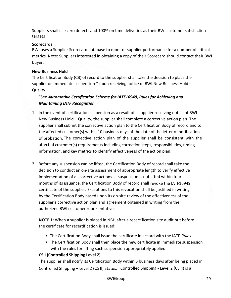Suppliers shall use zero defects and 100% on time deliveries as their BWI customer satisfaction targets

#### **Scorecards**

BWI uses a Supplier Scorecard database to monitor supplier performance for a number of critical metrics. Note: Suppliers interested in obtaining a copy of their Scorecard should contact their BWI buyer.

#### New Business Hold

The Certification Body (CB) of record to the supplier shall take the decision to place the supplier on immediate suspension \* upon receiving notice of BWI New Business Hold – Quality.

#### \*See Automotive Certification Scheme for IATF16949, Rules for Achieving and Maintaining IATF Recognition.

- 1. In the event of certification suspension as a result of a supplier receiving notice of BWI New Business Hold – Quality, the supplier shall complete a corrective action plan. The supplier shall submit the corrective action plan to the Certification Body of record and to the affected customer(s) within 10 business days of the date of the letter of notification of probation. The corrective action plan of the supplier shall be consistent with the affected customer(s) requirements including correction steps, responsibilities, timing information, and key metrics to identify effectiveness of the action plan.
- 2. Before any suspension can be lifted, the Certification Body of record shall take the decision to conduct an on-site assessment of appropriate length to verify effective implementation of all corrective actions. If suspension is not lifted within four months of its issuance, the Certification Body of record shall revoke the IATF16949 certificate of the supplier. Exceptions to this revocation shall be justified in writing by the Certification Body based upon its on-site review of the effectiveness of the supplier's corrective action plan and agreement obtained in writing from the authorized BWI customer representative.

NOTE 1: When a supplier is placed in NBH after a recertification site audit but before the certificate for recertification is issued:

- The Certification Body shall issue the certificate in accord with the IATF Rules.
- The Certification Body shall then place the new certificate in immediate suspension with the rules for lifting such suspension appropriately applied.

#### CSII (Controlled Shipping Level 2)

The supplier shall notify its Certification Body within 5 business days after being placed in Controlled Shipping – Level 2 (CS II) Status. Controlled Shipping - Level 2 (CS II) is a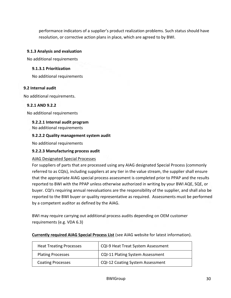performance indicators of a supplier's product realization problems. Such status should have resolution, or corrective action plans in place, which are agreed to by BWI.

#### 9.1.3 Analysis and evaluation

No additional requirements

#### 9.1.3.1 Prioritization

No additional requirements

#### 9.2 Internal audit

No additional requirements.

#### 9.2.1 AND 9.2.2

No additional requirements

#### 9.2.2.1 Internal audit program

No additional requirements

#### 9.2.2.2 Quality management system audit

No additional requirements

#### 9.2.2.3 Manufacturing process audit

#### AIAG Designated Special Processes

For suppliers of parts that are processed using any AIAG designated Special Process (commonly referred to as CQIs), including suppliers at any tier in the value stream, the supplier shall ensure that the appropriate AIAG special process assessment is completed prior to PPAP and the results reported to BWI with the PPAP unless otherwise authorized in writing by your BWI AQE, SQE, or buyer. CQI's requiring annual reevaluations are the responsibility of the supplier, and shall also be reported to the BWI buyer or quality representative as required. Assessments must be performed by a competent auditor as defined by the AIAG.

BWI may require carrying out additional process audits depending on OEM customer requirements (e.g. VDA 6.3)

| Currently required AIAG Special Process List (see AIAG website for latest information). |
|-----------------------------------------------------------------------------------------|
|-----------------------------------------------------------------------------------------|

| <b>Heat Treating Processes</b> | CQI-9 Heat Treat System Assessment      |
|--------------------------------|-----------------------------------------|
| <b>Plating Processes</b>       | <b>CQI-11 Plating System Assessment</b> |
| <b>Coating Processes</b>       | <b>CQI-12 Coating System Assessment</b> |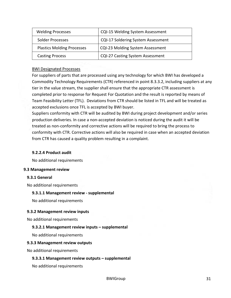| <b>Welding Processes</b>          | CQI-15 Welding System Assessment          |
|-----------------------------------|-------------------------------------------|
| Solder Processes                  | <b>CQI-17 Soldering System Assessment</b> |
| <b>Plastics Molding Processes</b> | <b>CQI-23 Molding System Assessment</b>   |
| <b>Casting Process</b>            | <b>CQI-27 Casting System Assessment</b>   |

#### BWI Designated Processes

For suppliers of parts that are processed using any technology for which BWI has developed a Commodity Technology Requirements (CTR) referenced in point 8.3.3.2, including suppliers at any tier in the value stream, the supplier shall ensure that the appropriate CTR assessment is completed prior to response for Request For Quotation and the result is reported by means of Team Feasibility Letter (TFL). Deviations from CTR should be listed in TFL and will be treated as accepted exclusions once TFL is accepted by BWI buyer.

Suppliers conformity with CTR will be audited by BWI during project development and/or series production deliveries. In case a non-accepted deviation is noticed during the audit it will be treated as non-conformity and corrective actions will be required to bring the process to conformity with CTR. Corrective actions will also be required in case when an accepted deviation from CTR has caused a quality problem resulting in a complaint.

#### 9.2.2.4 Product audit

No additional requirements

#### 9.3 Management review

#### 9.3.1 General

No additional requirements

#### 9.3.1.1 Management review - supplemental

No additional requirements

#### 9.3.2 Management review inputs

No additional requirements

#### 9.3.2.1 Management review inputs – supplemental

No additional requirements

#### 9.3.3 Management review outputs

No additional requirements

#### 9.3.3.1 Management review outputs – supplemental

No additional requirements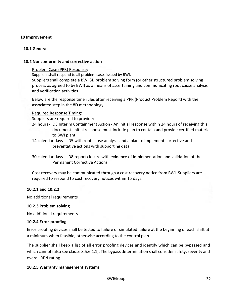#### 10 Improvement

#### 10.1 General

#### 10.2 Nonconformity and corrective action

#### Problem Case (PPR) Response:

Suppliers shall respond to all problem cases issued by BWI.

Suppliers shall complete a BWI 8D problem solving form (or other structured problem solving process as agreed to by BWI) as a means of ascertaining and communicating root cause analysis and verification activities.

Below are the response time rules after receiving a PPR (Product Problem Report) with the associated step in the 8D methodology:

#### Required Response Timing:

Suppliers are required to provide:

- 24 hours D3 Interim Containment Action An initial response within 24 hours of receiving this document. Initial response must include plan to contain and provide certified material to BWI plant.
- 14 calendar days D5 with root cause analysis and a plan to implement corrective and preventative actions with supporting data.

30 calendar days - D8 report closure with evidence of implementation and validation of the Permanent Corrective Actions.

Cost recovery may be communicated through a cost recovery notice from BWI. Suppliers are required to respond to cost recovery notices within 15 days.

#### 10.2.1 and 10.2.2

No additional requirements

#### 10.2.3 Problem solving

No additional requirements

#### 10.2.4 Error-proofing

Error proofing devices shall be tested to failure or simulated failure at the beginning of each shift at a minimum when feasible, otherwise according to the control plan.

The supplier shall keep a list of all error proofing devices and identify which can be bypassed and which cannot (also see clause 8.5.6.1.1). The bypass determination shall consider safety, severity and overall RPN rating.

#### 10.2.5 Warranty management systems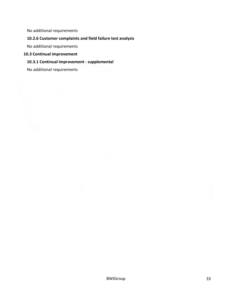No additional requirements

#### 10.2.6 Customer complaints and field failure test analysis

No additional requirements

#### 10.3 Continual improvement

#### 10.3.1 Continual improvement - supplemental

No additional requirements